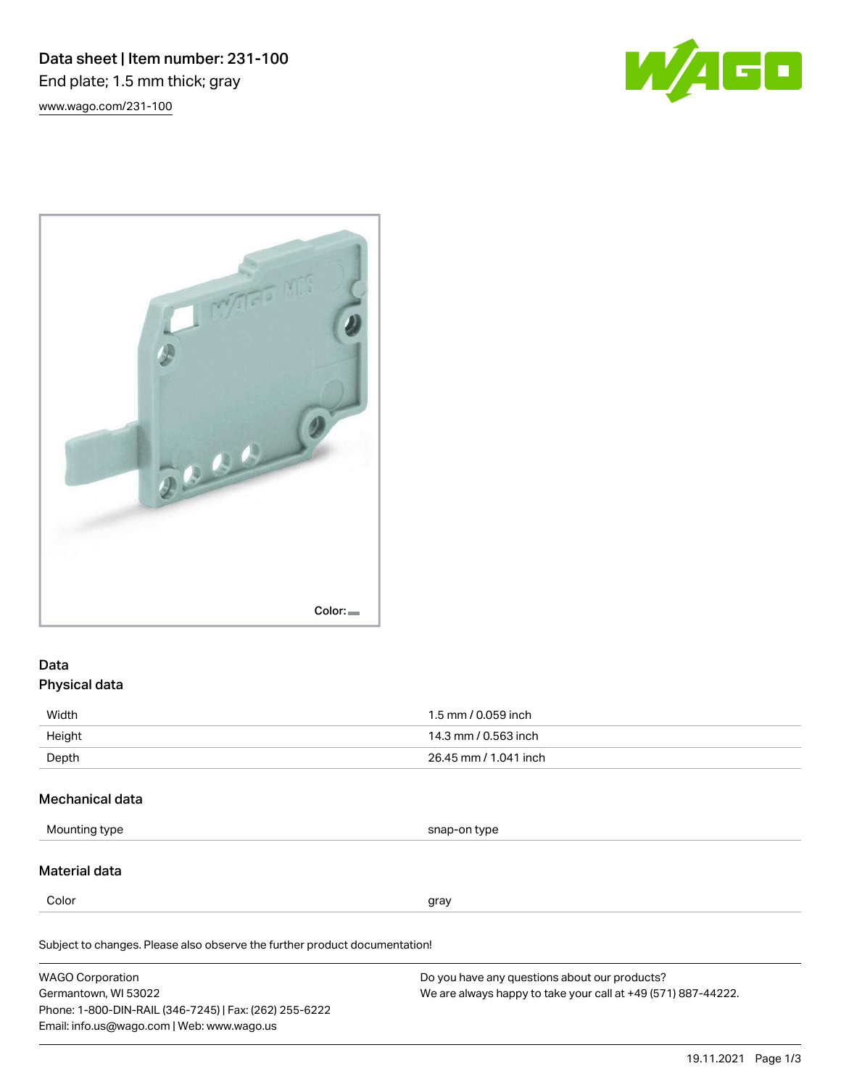Data sheet | Item number: 231-100 End plate; 1.5 mm thick; gray [www.wago.com/231-100](http://www.wago.com/231-100)





# Data Physical data

| Width  | 1.5 mm / 0.059 inch   |
|--------|-----------------------|
| Height | 14.3 mm / 0.563 inch  |
| Depth  | 26.45 mm / 1.041 inch |

### Mechanical data

Mounting type snap-on type

### Material data

Color and the color of the color of the color of the color of the color of the color of the color of the color

Subject to changes. Please also observe the further product documentation!

| <b>WAGO Corporation</b>                                | Do you have any questions about our products?                 |  |
|--------------------------------------------------------|---------------------------------------------------------------|--|
| Germantown, WI 53022                                   | We are always happy to take your call at +49 (571) 887-44222. |  |
| Phone: 1-800-DIN-RAIL (346-7245)   Fax: (262) 255-6222 |                                                               |  |
| Email: info.us@wago.com   Web: www.wago.us             |                                                               |  |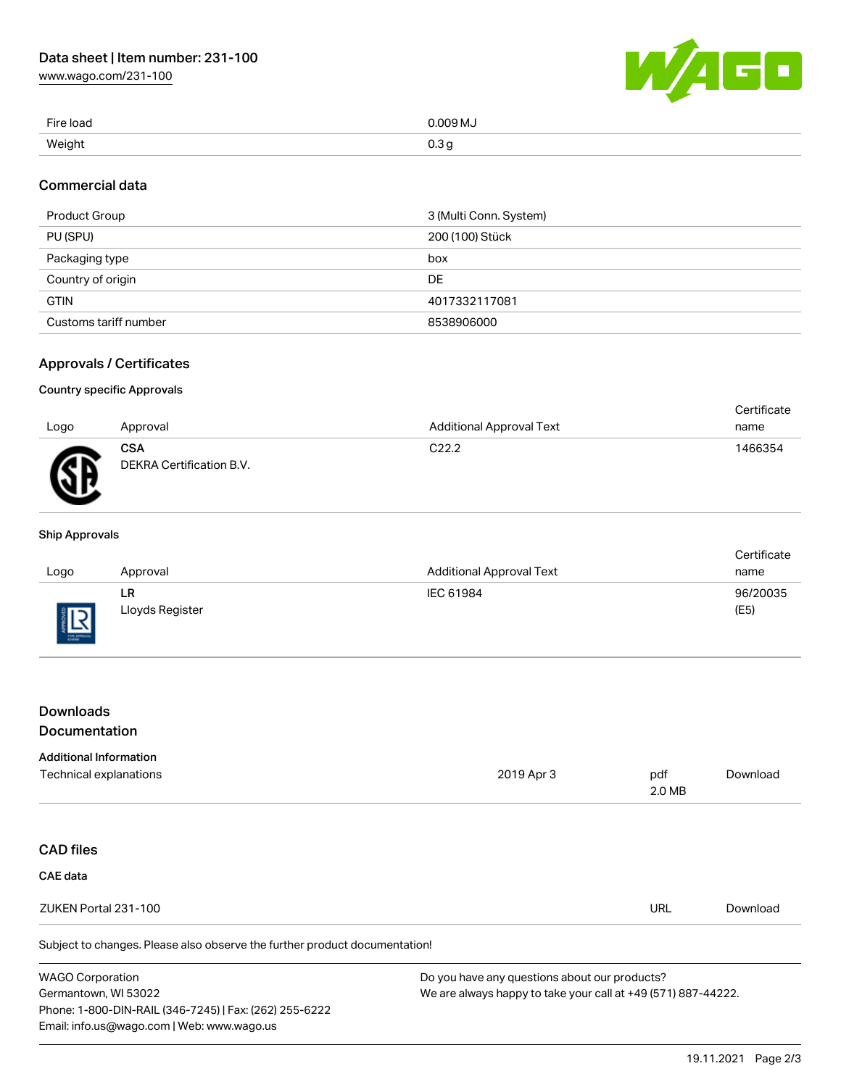[www.wago.com/231-100](http://www.wago.com/231-100)



| Fire load | 0.009 MJ                |
|-----------|-------------------------|
| Weight    | 0.3 <sub>g</sub><br>- 0 |

### Commercial data

| Product Group         | 3 (Multi Conn. System) |
|-----------------------|------------------------|
| PU (SPU)              | 200 (100) Stück        |
| Packaging type        | box                    |
| Country of origin     | DE                     |
| <b>GTIN</b>           | 4017332117081          |
| Customs tariff number | 8538906000             |

### Approvals / Certificates

#### Country specific Approvals

| Logo | Approval                               | <b>Additional Approval Text</b> | Certificate<br>name |
|------|----------------------------------------|---------------------------------|---------------------|
|      |                                        |                                 |                     |
| Æ    | <b>CSA</b><br>DEKRA Certification B.V. | C <sub>22.2</sub>               | 1466354             |

#### Ship Approvals

|            |                 |                                 | Certificate |
|------------|-----------------|---------------------------------|-------------|
| Logo       | Approval        | <b>Additional Approval Text</b> | name        |
|            | LR              | IEC 61984                       | 96/20035    |
| 旧<br>8 L N | Lloyds Register |                                 | (E5)        |

## Downloads Documentation

#### Additional Information

| Technical explanations                                                     | 2019 Apr 3                                    | pdf    | Download |
|----------------------------------------------------------------------------|-----------------------------------------------|--------|----------|
|                                                                            |                                               | 2.0 MB |          |
|                                                                            |                                               |        |          |
| <b>CAD files</b>                                                           |                                               |        |          |
| <b>CAE</b> data                                                            |                                               |        |          |
| ZUKEN Portal 231-100                                                       |                                               | URL    | Download |
| Subject to changes. Please also observe the further product documentation! |                                               |        |          |
| <b>MACO Corporation</b>                                                    | Do vou have any questions about our products? |        |          |

| <b>WAGO Corporation</b>                                |
|--------------------------------------------------------|
| Germantown, WI 53022                                   |
| Phone: 1-800-DIN-RAIL (346-7245)   Fax: (262) 255-6222 |
| Email: info.us@wago.com   Web: www.wago.us             |

Do you have any questions about our products? We are always happy to take your call at +49 (571) 887-44222.